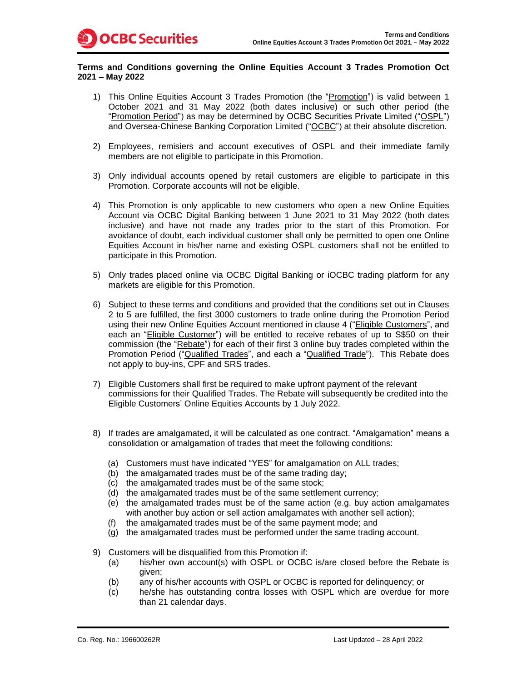## **Terms and Conditions governing the Online Equities Account 3 Trades Promotion Oct 2021 – May 2022**

- 1) This Online Equities Account 3 Trades Promotion (the "Promotion") is valid between 1 October 2021 and 31 May 2022 (both dates inclusive) or such other period (the "Promotion Period") as may be determined by OCBC Securities Private Limited ("OSPL") and Oversea-Chinese Banking Corporation Limited ("OCBC") at their absolute discretion.
- 2) Employees, remisiers and account executives of OSPL and their immediate family members are not eligible to participate in this Promotion.
- 3) Only individual accounts opened by retail customers are eligible to participate in this Promotion. Corporate accounts will not be eligible.
- 4) This Promotion is only applicable to new customers who open a new Online Equities Account via OCBC Digital Banking between 1 June 2021 to 31 May 2022 (both dates inclusive) and have not made any trades prior to the start of this Promotion. For avoidance of doubt, each individual customer shall only be permitted to open one Online Equities Account in his/her name and existing OSPL customers shall not be entitled to participate in this Promotion.
- 5) Only trades placed online via OCBC Digital Banking or iOCBC trading platform for any markets are eligible for this Promotion.
- 6) Subject to these terms and conditions and provided that the conditions set out in Clauses 2 to 5 are fulfilled, the first 3000 customers to trade online during the Promotion Period using their new Online Equities Account mentioned in clause 4 ("Eligible Customers", and each an "Eligible Customer") will be entitled to receive rebates of up to S\$50 on their commission (the "Rebate") for each of their first 3 online buy trades completed within the Promotion Period ("Qualified Trades", and each a "Qualified Trade"). This Rebate does not apply to buy-ins, CPF and SRS trades.
- 7) Eligible Customers shall first be required to make upfront payment of the relevant commissions for their Qualified Trades. The Rebate will subsequently be credited into the Eligible Customers' Online Equities Accounts by 1 July 2022.
- 8) If trades are amalgamated, it will be calculated as one contract. "Amalgamation" means a consolidation or amalgamation of trades that meet the following conditions:
	- (a) Customers must have indicated "YES" for amalgamation on ALL trades;
	- (b) the amalgamated trades must be of the same trading day;
	- (c) the amalgamated trades must be of the same stock;
	- (d) the amalgamated trades must be of the same settlement currency;
	- (e) the amalgamated trades must be of the same action (e.g. buy action amalgamates with another buy action or sell action amalgamates with another sell action);
	- (f) the amalgamated trades must be of the same payment mode; and
	- (g) the amalgamated trades must be performed under the same trading account.
- 9) Customers will be disqualified from this Promotion if:
	- (a) his/her own account(s) with OSPL or OCBC is/are closed before the Rebate is given;
	- (b) any of his/her accounts with OSPL or OCBC is reported for delinquency; or
	- (c) he/she has outstanding contra losses with OSPL which are overdue for more than 21 calendar days.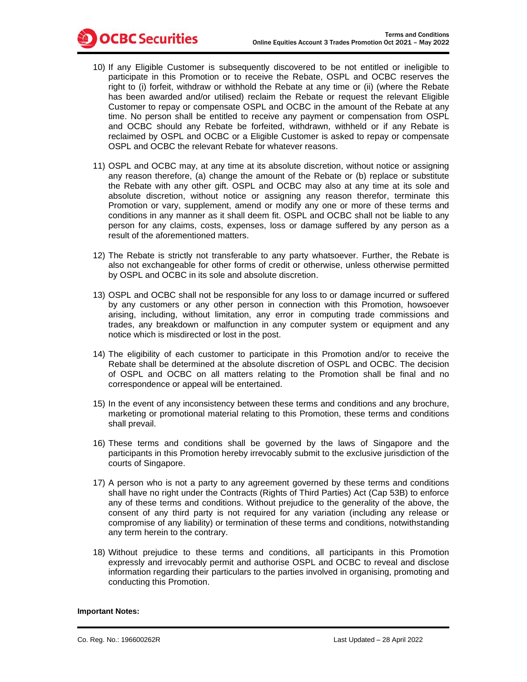10) If any Eligible Customer is subsequently discovered to be not entitled or ineligible to participate in this Promotion or to receive the Rebate, OSPL and OCBC reserves the right to (i) forfeit, withdraw or withhold the Rebate at any time or (ii) (where the Rebate has been awarded and/or utilised) reclaim the Rebate or request the relevant Eligible Customer to repay or compensate OSPL and OCBC in the amount of the Rebate at any time. No person shall be entitled to receive any payment or compensation from OSPL and OCBC should any Rebate be forfeited, withdrawn, withheld or if any Rebate is reclaimed by OSPL and OCBC or a Eligible Customer is asked to repay or compensate OSPL and OCBC the relevant Rebate for whatever reasons.

**OCBC** Securities

- 11) OSPL and OCBC may, at any time at its absolute discretion, without notice or assigning any reason therefore, (a) change the amount of the Rebate or (b) replace or substitute the Rebate with any other gift. OSPL and OCBC may also at any time at its sole and absolute discretion, without notice or assigning any reason therefor, terminate this Promotion or vary, supplement, amend or modify any one or more of these terms and conditions in any manner as it shall deem fit. OSPL and OCBC shall not be liable to any person for any claims, costs, expenses, loss or damage suffered by any person as a result of the aforementioned matters.
- 12) The Rebate is strictly not transferable to any party whatsoever. Further, the Rebate is also not exchangeable for other forms of credit or otherwise, unless otherwise permitted by OSPL and OCBC in its sole and absolute discretion.
- 13) OSPL and OCBC shall not be responsible for any loss to or damage incurred or suffered by any customers or any other person in connection with this Promotion, howsoever arising, including, without limitation, any error in computing trade commissions and trades, any breakdown or malfunction in any computer system or equipment and any notice which is misdirected or lost in the post.
- 14) The eligibility of each customer to participate in this Promotion and/or to receive the Rebate shall be determined at the absolute discretion of OSPL and OCBC. The decision of OSPL and OCBC on all matters relating to the Promotion shall be final and no correspondence or appeal will be entertained.
- 15) In the event of any inconsistency between these terms and conditions and any brochure, marketing or promotional material relating to this Promotion, these terms and conditions shall prevail.
- 16) These terms and conditions shall be governed by the laws of Singapore and the participants in this Promotion hereby irrevocably submit to the exclusive jurisdiction of the courts of Singapore.
- 17) A person who is not a party to any agreement governed by these terms and conditions shall have no right under the Contracts (Rights of Third Parties) Act (Cap 53B) to enforce any of these terms and conditions. Without prejudice to the generality of the above, the consent of any third party is not required for any variation (including any release or compromise of any liability) or termination of these terms and conditions, notwithstanding any term herein to the contrary.
- 18) Without prejudice to these terms and conditions, all participants in this Promotion expressly and irrevocably permit and authorise OSPL and OCBC to reveal and disclose information regarding their particulars to the parties involved in organising, promoting and conducting this Promotion.

## **Important Notes:**